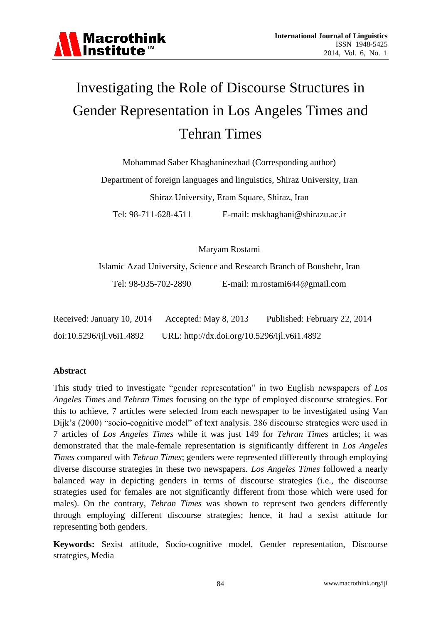# Investigating the Role of Discourse Structures in Gender Representation in Los Angeles Times and Tehran Times

Mohammad Saber Khaghaninezhad (Corresponding author)

Department of foreign languages and linguistics, Shiraz University, Iran Shiraz University, Eram Square, Shiraz, Iran

Tel: 98-711-628-4511 E-mail: [mskhaghani@shirazu.ac.ir](mailto:mskhaghani@shirazu.ac.ir)

Maryam Rostami

Islamic Azad University, Science and Research Branch of Boushehr, Iran Tel: 98-935-702-2890 E-mail: [m.rostami644@gmail.com](mailto:m.rostami644@gmail.com)

| Received: January 10, 2014 | Accepted: May 8, 2013                        | Published: February 22, 2014 |
|----------------------------|----------------------------------------------|------------------------------|
| doi:10.5296/ijl.v6i1.4892  | URL: http://dx.doi.org/10.5296/ijl.v6i1.4892 |                              |

## **Abstract**

This study tried to investigate "gender representation" in two English newspapers of *Los Angeles Times* and *Tehran Times* focusing on the type of employed discourse strategies. For this to achieve, 7 articles were selected from each newspaper to be investigated using Van Dijk's (2000) "socio-cognitive model" of text analysis. 286 discourse strategies were used in 7 articles of *Los Angeles Times* while it was just 149 for *Tehran Times* articles; it was demonstrated that the male-female representation is significantly different in *Los Angeles Times* compared with *Tehran Times*; genders were represented differently through employing diverse discourse strategies in these two newspapers. *Los Angeles Times* followed a nearly balanced way in depicting genders in terms of discourse strategies (i.e., the discourse strategies used for females are not significantly different from those which were used for males). On the contrary, *Tehran Times* was shown to represent two genders differently through employing different discourse strategies; hence, it had a sexist attitude for representing both genders.

**Keywords:** Sexist attitude, Socio-cognitive model, Gender representation, Discourse strategies, Media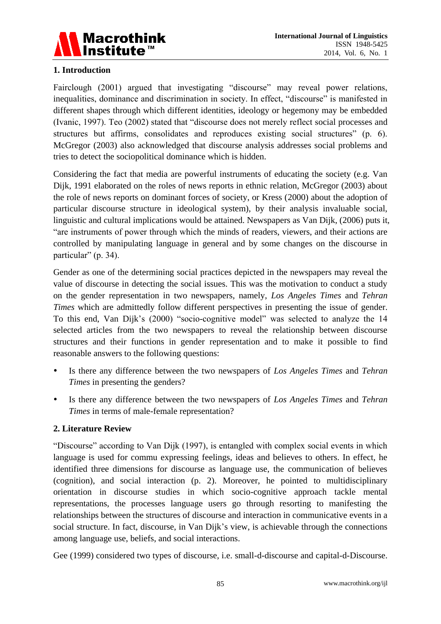

# **1. Introduction**

Fairclough (2001) argued that investigating "discourse" may reveal power relations, inequalities, dominance and discrimination in society. In effect, "discourse" is manifested in different shapes through which different identities, ideology or hegemony may be embedded (Ivanic, 1997). Teo (2002) stated that "discourse does not merely reflect social processes and structures but affirms, consolidates and reproduces existing social structures" (p. 6). McGregor (2003) also acknowledged that discourse analysis addresses social problems and tries to detect the sociopolitical dominance which is hidden.

Considering the fact that media are powerful instruments of educating the society (e.g. Van Dijk, 1991 elaborated on the roles of news reports in ethnic relation, McGregor (2003) about the role of news reports on dominant forces of society, or Kress (2000) about the adoption of particular discourse structure in ideological system), by their analysis invaluable social, linguistic and cultural implications would be attained. Newspapers as Van Dijk, (2006) puts it, "are instruments of power through which the minds of readers, viewers, and their actions are controlled by manipulating language in general and by some changes on the discourse in particular" (p. 34).

Gender as one of the determining social practices depicted in the newspapers may reveal the value of discourse in detecting the social issues. This was the motivation to conduct a study on the gender representation in two newspapers, namely, *Los Angeles Times* and *Tehran Times* which are admittedly follow different perspectives in presenting the issue of gender. To this end, Van Dijk"s (2000) "socio-cognitive model" was selected to analyze the 14 selected articles from the two newspapers to reveal the relationship between discourse structures and their functions in gender representation and to make it possible to find reasonable answers to the following questions:

- Is there any difference between the two newspapers of *Los Angeles Times* and *Tehran Times* in presenting the genders?
- Is there any difference between the two newspapers of *Los Angeles Times* and *Tehran Times* in terms of male-female representation?

## **2. Literature Review**

"Discourse" according to Van Dijk (1997), is entangled with complex social events in which language is used for commu expressing feelings, ideas and believes to others. In effect, he identified three dimensions for discourse as language use, the communication of believes (cognition), and social interaction (p. 2). Moreover, he pointed to multidisciplinary orientation in discourse studies in which socio-cognitive approach tackle mental representations, the processes language users go through resorting to manifesting the relationships between the structures of discourse and interaction in communicative events in a social structure. In fact, discourse, in Van Dijk"s view, is achievable through the connections among language use, beliefs, and social interactions.

Gee (1999) considered two types of discourse, i.e. small-d-discourse and capital-d-Discourse.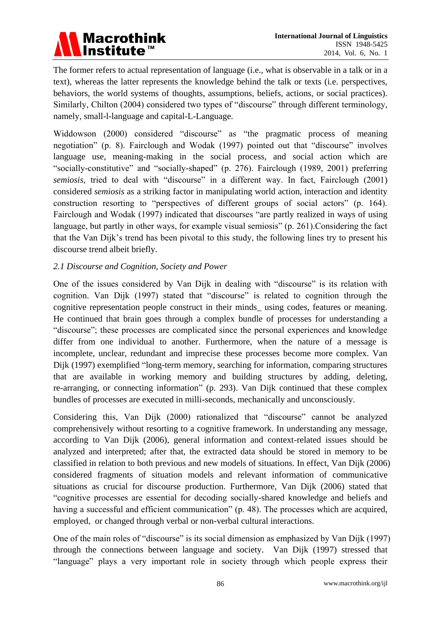

The former refers to actual representation of language (i.e., what is observable in a talk or in a text), whereas the latter represents the knowledge behind the talk or texts (i.e. perspectives, behaviors, the world systems of thoughts, assumptions, beliefs, actions, or social practices). Similarly, Chilton (2004) considered two types of "discourse" through different terminology, namely, small-l-language and capital-L-Language.

Widdowson (2000) considered "discourse" as "the pragmatic process of meaning negotiation" (p. 8). Fairclough and Wodak (1997) pointed out that "discourse" involves language use, meaning-making in the social process, and social action which are "socially-constitutive" and "socially-shaped" (p. 276). Fairclough (1989, 2001) preferring *semiosis,* tried to deal with "discourse" in a different way. In fact, Fairclough (2001) considered *semiosis* as a striking factor in manipulating world action, interaction and identity construction resorting to "perspectives of different groups of social actors" (p. 164). Fairclough and Wodak (1997) indicated that discourses "are partly realized in ways of using language, but partly in other ways, for example visual semiosis" (p. 261).Considering the fact that the Van Dijk"s trend has been pivotal to this study, the following lines try to present his discourse trend albeit briefly.

## *2.1 Discourse and Cognition, Society and Power*

One of the issues considered by Van Dijk in dealing with "discourse" is its relation with cognition. Van Dijk (1997) stated that "discourse" is related to cognition through the cognitive representation people construct in their minds\_ using codes, features or meaning. He continued that brain goes through a complex bundle of processes for understanding a "discourse"; these processes are complicated since the personal experiences and knowledge differ from one individual to another. Furthermore, when the nature of a message is incomplete, unclear, redundant and imprecise these processes become more complex. Van Dijk (1997) exemplified "long-term memory, searching for information, comparing structures that are available in working memory and building structures by adding, deleting, re-arranging, or connecting information" (p. 293). Van Dijk continued that these complex bundles of processes are executed in milli-seconds, mechanically and unconsciously.

Considering this, Van Dijk (2000) rationalized that "discourse" cannot be analyzed comprehensively without resorting to a cognitive framework. In understanding any message, according to Van Dijk (2006), general information and context-related issues should be analyzed and interpreted; after that, the extracted data should be stored in memory to be classified in relation to both previous and new models of situations. In effect, Van Dijk (2006) considered fragments of situation models and relevant information of communicative situations as crucial for discourse production. Furthermore, Van Dijk (2006) stated that "cognitive processes are essential for decoding socially-shared knowledge and beliefs and having a successful and efficient communication" (p. 48). The processes which are acquired, employed, or changed through verbal or non-verbal cultural interactions.

One of the main roles of "discourse" is its social dimension as emphasized by Van Dijk (1997) through the connections between language and society. Van Dijk (1997) stressed that "language" plays a very important role in society through which people express their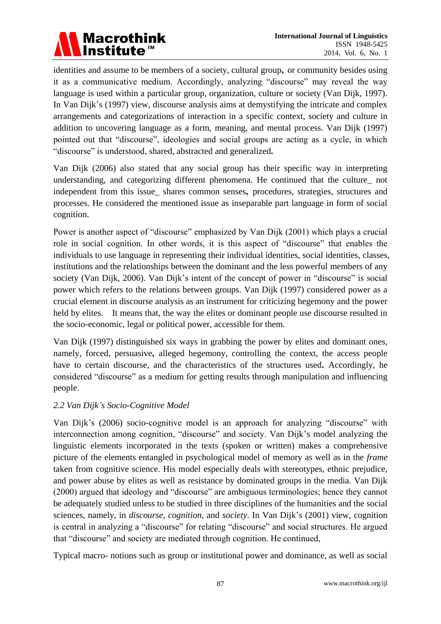

identities and assume to be members of a society, cultural group**,** or community besides using it as a communicative medium. Accordingly, analyzing "discourse" may reveal the way language is used within a particular group, organization, culture or society (Van Dijk, 1997). In Van Dijk"s (1997) view, discourse analysis aims at demystifying the intricate and complex arrangements and categorizations of interaction in a specific context, society and culture in addition to uncovering language as a form, meaning, and mental process. Van Dijk (1997) pointed out that "discourse", ideologies and social groups are acting as a cycle, in which "discourse" is understood, shared, abstracted and generalized**.**

Van Dijk (2006) also stated that any social group has their specific way in interpreting understanding, and categorizing different phenomena. He continued that the culture\_ not independent from this issue\_ shares common senses**,** procedures, strategies, structures and processes. He considered the mentioned issue as inseparable part language in form of social cognition.

Power is another aspect of "discourse" emphasized by Van Dijk (2001) which plays a crucial role in social cognition. In other words, it is this aspect of "discourse" that enables the individuals to use language in representing their individual identities, social identities, classes, institutions and the relationships between the dominant and the less powerful members of any society (Van Dijk, 2006). Van Dijk"s intent of the concept of power in "discourse" is social power which refers to the relations between groups. Van Dijk (1997) considered power as a crucial element in discourse analysis as an instrument for criticizing hegemony and the power held by elites. It means that, the way the elites or dominant people use discourse resulted in the socio-economic, legal or political power, accessible for them.

Van Dijk (1997) distinguished six ways in grabbing the power by elites and dominant ones, namely, forced, persuasive**,** alleged hegemony, controlling the context, the access people have to certain discourse, and the characteristics of the structures used**.** Accordingly, he considered "discourse" as a medium for getting results through manipulation and influencing people.

## *2.2 Van Dijk's Socio-Cognitive Model*

Van Dijk"s (2006) socio-cognitive model is an approach for analyzing "discourse" with interconnection among cognition, "discourse" and society. Van Dijk"s model analyzing the linguistic elements incorporated in the texts (spoken or written) makes a comprehensive picture of the elements entangled in psychological model of memory as well as in the *frame*  taken from cognitive science. His model especially deals with stereotypes, ethnic prejudice, and power abuse by elites as well as resistance by dominated groups in the media. Van Dijk (2000) argued that ideology and "discourse" are ambiguous terminologies; hence they cannot be adequately studied unless to be studied in three disciplines of the humanities and the social sciences, namely, in *discourse*, *cognition*, and *society*. In Van Dijk"s (2001) view, cognition is central in analyzing a "discourse" for relating "discourse" and social structures. He argued that "discourse" and society are mediated through cognition. He continued,

Typical macro- notions such as group or institutional power and dominance, as well as social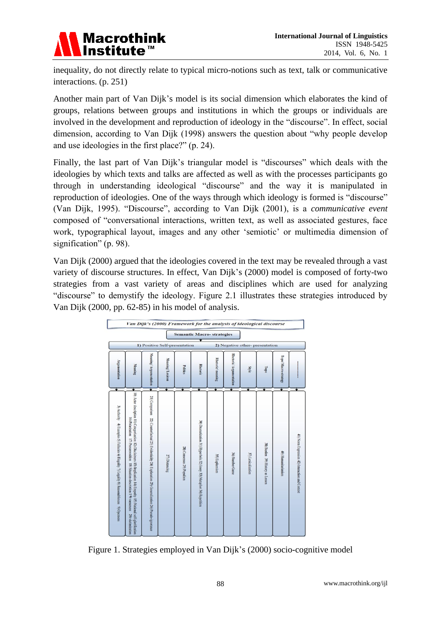

inequality, do not directly relate to typical micro-notions such as text, talk or communicative interactions. (p. 251)

Another main part of Van Dijk"s model is its social dimension which elaborates the kind of groups, relations between groups and institutions in which the groups or individuals are involved in the development and reproduction of ideology in the "discourse". In effect, social dimension, according to Van Dijk (1998) answers the question about "why people develop and use ideologies in the first place?" (p. 24).

Finally, the last part of Van Dijk"s triangular model is "discourses" which deals with the ideologies by which texts and talks are affected as well as with the processes participants go through in understanding ideological "discourse" and the way it is manipulated in reproduction of ideologies. One of the ways through which ideology is formed is "discourse" (Van Dijk, 1995). "Discourse", according to Van Dijk (2001), is a *communicative event* composed of "conversational interactions, written text, as well as associated gestures, face work, typographical layout, images and any other "semiotic" or multimedia dimension of signification" (p. 98).

Van Dijk (2000) argued that the ideologies covered in the text may be revealed through a vast variety of discourse structures. In effect, Van Dijk"s (2000) model is composed of forty-two strategies from a vast variety of areas and disciplines which are used for analyzing "discourse" to demystify the ideology. Figure 2.1 illustrates these strategies introduced by Van Dijk (2000, pp. 62-85) in his model of analysis.

| Van Dijk's (2000) Framework for the analysis of ideological discourse                         |                                                                                                                                                                                                                                   |                                                                                                                |                      |                            |                                                                       |                                  |                              |                                |                                  |                                 |                                                 |
|-----------------------------------------------------------------------------------------------|-----------------------------------------------------------------------------------------------------------------------------------------------------------------------------------------------------------------------------------|----------------------------------------------------------------------------------------------------------------|----------------------|----------------------------|-----------------------------------------------------------------------|----------------------------------|------------------------------|--------------------------------|----------------------------------|---------------------------------|-------------------------------------------------|
|                                                                                               |                                                                                                                                                                                                                                   |                                                                                                                |                      |                            |                                                                       | <b>Semantic Macro-strategies</b> |                              |                                |                                  |                                 |                                                 |
|                                                                                               |                                                                                                                                                                                                                                   | 1) Positive Self-presentation                                                                                  |                      |                            |                                                                       |                                  |                              | 2) Negative other-presentation |                                  |                                 |                                                 |
| <b>Argumentation</b>                                                                          | <b>Meaning</b><br>Ŧ                                                                                                                                                                                                               | Meaning/Argumentation<br>ŧ                                                                                     | Meaning Lexicon<br>Ŧ | Politics                   | <b>Rhetoric</b>                                                       | Rhetoric/meaning<br>Ŧ            | Rhetoric/ Argumentation<br>Ŧ | Style                          | Topo                             | <b>Topo/Macro-strategy</b><br>Ŧ |                                                 |
| 3) Authority 4) Examples 5) Fallacies 6) Illegality 7) Legality 8) Reasonableness 9) Opermess | 10) Actor description 11) Categorization 12) Discleimers 13) Implication 14) Empathy 15) National self-glorification<br>10) Actor description 11) Categorization 12) Discleimers 13) Situation-description 1 9) vacueness 20) vic | 21) Comparison<br>22) Counterfactual 23) Evidentiality 24) Explanation 25) Generalization 26) Pseudo-ignorance | 27) Distancing       | 28) Consensus 29) Populism | 30) Dramatization 31) Hyperbole 32) Irony 33) Metaphor 34) Repetition | 35) Euphemism                    | 36) Number Game              | 37) Lexicalization             | 38) Burden 39) History as Lesson | 40) Humanitarianism             | 41) Norm Expression 42) Interaction and Context |

Figure 1. Strategies employed in Van Dijk"s (2000) socio-cognitive model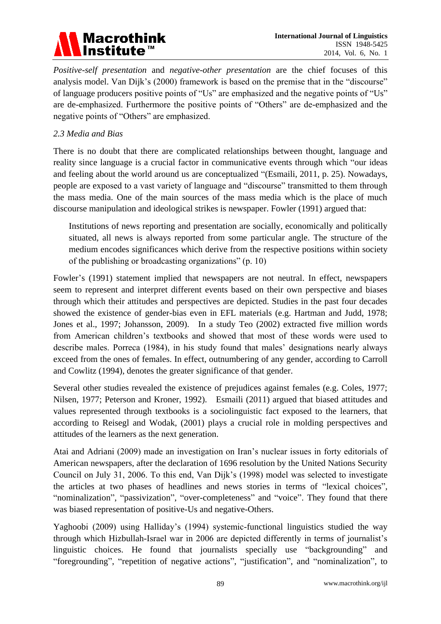

*Positive-self presentation* and *negative-other presentation* are the chief focuses of this analysis model. Van Dijk"s (2000) framework is based on the premise that in the "discourse" of language producers positive points of "Us" are emphasized and the negative points of "Us" are de-emphasized. Furthermore the positive points of "Others" are de-emphasized and the negative points of "Others" are emphasized.

#### *2.3 Media and Bias*

There is no doubt that there are complicated relationships between thought, language and reality since language is a crucial factor in communicative events through which "our ideas and feeling about the world around us are conceptualized "(Esmaili, 2011, p. 25). Nowadays, people are exposed to a vast variety of language and "discourse" transmitted to them through the mass media. One of the main sources of the mass media which is the place of much discourse manipulation and ideological strikes is newspaper. Fowler (1991) argued that:

Institutions of news reporting and presentation are socially, economically and politically situated, all news is always reported from some particular angle. The structure of the medium encodes significances which derive from the respective positions within society of the publishing or broadcasting organizations" (p. 10)

Fowler"s (1991) statement implied that newspapers are not neutral. In effect, newspapers seem to represent and interpret different events based on their own perspective and biases through which their attitudes and perspectives are depicted. Studies in the past four decades showed the existence of gender-bias even in EFL materials (e.g. Hartman and Judd, 1978; Jones et al., 1997; Johansson, 2009). In a study Teo (2002) extracted five million words from American children"s textbooks and showed that most of these words were used to describe males. Porreca (1984), in his study found that males" designations nearly always exceed from the ones of females. In effect, outnumbering of any gender, according to Carroll and Cowlitz (1994), denotes the greater significance of that gender.

Several other studies revealed the existence of prejudices against females (e.g. Coles, 1977; Nilsen, 1977; Peterson and Kroner, 1992). Esmaili (2011) argued that biased attitudes and values represented through textbooks is a sociolinguistic fact exposed to the learners, that according to Reisegl and Wodak, (2001) plays a crucial role in molding perspectives and attitudes of the learners as the next generation.

Atai and Adriani (2009) made an investigation on Iran"s nuclear issues in forty editorials of American newspapers, after the declaration of 1696 resolution by the United Nations Security Council on July 31, 2006. To this end, Van Dijk"s (1998) model was selected to investigate the articles at two phases of headlines and news stories in terms of "lexical choices", "nominalization", "passivization", "over-completeness" and "voice". They found that there was biased representation of positive-Us and negative-Others.

Yaghoobi (2009) using Halliday"s (1994) systemic-functional linguistics studied the way through which Hizbullah-Israel war in 2006 are depicted differently in terms of journalist"s linguistic choices. He found that journalists specially use "backgrounding" and "foregrounding", "repetition of negative actions", "justification", and "nominalization"*,* to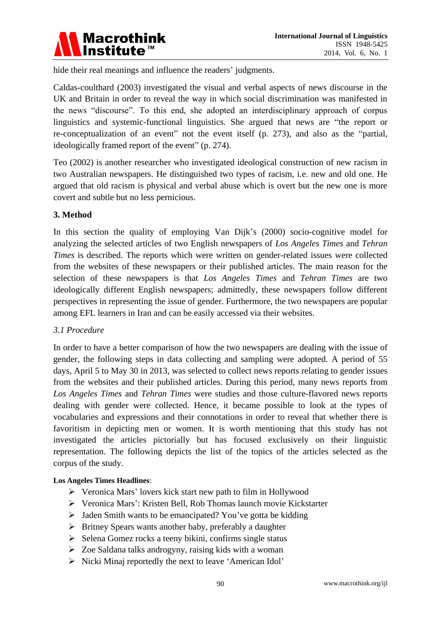

hide their real meanings and influence the readers' judgments.

Caldas-coulthard (2003) investigated the visual and verbal aspects of news discourse in the UK and Britain in order to reveal the way in which social discrimination was manifested in the news "discourse". To this end, she adopted an interdisciplinary approach of corpus linguistics and systemic-functional linguistics. She argued that news are "the report or re-conceptualization of an event" not the event itself (p. 273), and also as the "partial, ideologically framed report of the event" (p. 274).

Teo (2002) is another researcher who investigated ideological construction of new racism in two Australian newspapers. He distinguished two types of racism, i.e. new and old one. He argued that old racism is physical and verbal abuse which is overt but the new one is more covert and subtle but no less pernicious.

## **3. Method**

In this section the quality of employing Van Dijk"s (2000) socio-cognitive model for analyzing the selected articles of two English newspapers of *Los Angeles Times* and *Tehran Times* is described. The reports which were written on gender-related issues were collected from the websites of these newspapers or their published articles. The main reason for the selection of these newspapers is that *Los Angeles Times* and *Tehran Times* are two ideologically different English newspapers; admittedly, these newspapers follow different perspectives in representing the issue of gender. Furthermore, the two newspapers are popular among EFL learners in Iran and can be easily accessed via their websites.

## *3.1 Procedure*

In order to have a better comparison of how the two newspapers are dealing with the issue of gender, the following steps in data collecting and sampling were adopted. A period of 55 days, April 5 to May 30 in 2013, was selected to collect news reports relating to gender issues from the websites and their published articles. During this period, many news reports from *Los Angeles Times* and *Tehran Times* were studies and those culture-flavored news reports dealing with gender were collected. Hence, it became possible to look at the types of vocabularies and expressions and their connotations in order to reveal that whether there is favoritism in depicting men or women. It is worth mentioning that this study has not investigated the articles pictorially but has focused exclusively on their linguistic representation. The following depicts the list of the topics of the articles selected as the corpus of the study.

#### **Los Angeles Times Headlines**:

- $\triangleright$  Veronica Mars' lovers kick start new path to film in Hollywood
- Veronica Mars": Kristen Bell, Rob Thomas launch movie Kickstarter
- $\triangleright$  Jaden Smith wants to be emancipated? You've gotta be kidding
- $\triangleright$  Britney Spears wants another baby, preferably a daughter
- $\triangleright$  Selena Gomez rocks a teeny bikini, confirms single status
- $\geq$  Zoe Saldana talks androgyny, raising kids with a woman
- $\triangleright$  Nicki Minaj reportedly the next to leave 'American Idol'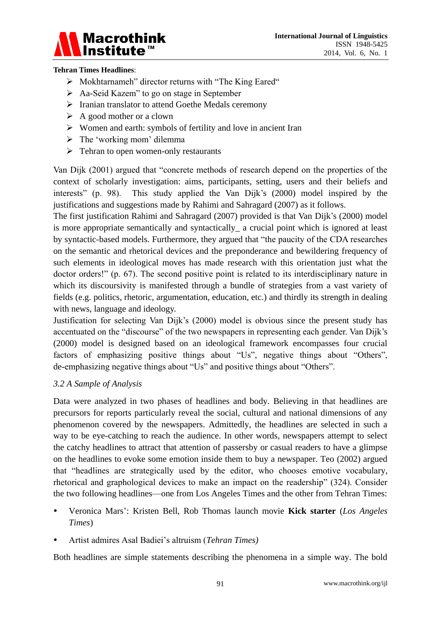

#### **Tehran Times Headlines**:

- $\triangleright$  Mokhtarnameh" director returns with "The King Eared"
- $\triangleright$  Aa-Seid Kazem" to go on stage in September
- $\triangleright$  Iranian translator to attend Goethe Medals ceremony
- $\triangleright$  A good mother or a clown
- $\triangleright$  Women and earth: symbols of fertility and love in ancient Iran
- $\triangleright$  The 'working mom' dilemma
- $\triangleright$  Tehran to open women-only restaurants

Van Dijk (2001) argued that "concrete methods of research depend on the properties of the context of scholarly investigation: aims, participants, setting, users and their beliefs and interests" (p. 98). This study applied the Van Dijk's (2000) model inspired by the justifications and suggestions made by Rahimi and Sahragard (2007) as it follows.

The first justification Rahimi and Sahragard (2007) provided is that Van Dijk's (2000) model is more appropriate semantically and syntactically\_ a crucial point which is ignored at least by syntactic-based models. Furthermore, they argued that "the paucity of the CDA researches on the semantic and rhetorical devices and the preponderance and bewildering frequency of such elements in ideological moves has made research with this orientation just what the doctor orders!" (p. 67). The second positive point is related to its interdisciplinary nature in which its discoursivity is manifested through a bundle of strategies from a vast variety of fields (e.g. politics, rhetoric, argumentation, education, etc.) and thirdly its strength in dealing with news, language and ideology.

Justification for selecting Van Dijk"s (2000) model is obvious since the present study has accentuated on the "discourse" of the two newspapers in representing each gender. Van Dijk"s (2000) model is designed based on an ideological framework encompasses four crucial factors of emphasizing positive things about "Us", negative things about "Others", de-emphasizing negative things about "Us" and positive things about "Others".

## *3.2 A Sample of Analysis*

Data were analyzed in two phases of headlines and body. Believing in that headlines are precursors for reports particularly reveal the social, cultural and national dimensions of any phenomenon covered by the newspapers. Admittedly, the headlines are selected in such a way to be eye-catching to reach the audience. In other words, newspapers attempt to select the catchy headlines to attract that attention of passersby or casual readers to have a glimpse on the headlines to evoke some emotion inside them to buy a newspaper. Teo (2002) argued that "headlines are strategically used by the editor, who chooses emotive vocabulary, rhetorical and graphological devices to make an impact on the readership" (324). Consider the two following headlines—one from Los Angeles Times and the other from Tehran Times:

- Veronica Mars": Kristen Bell, Rob Thomas launch movie **Kick starter** (*Los Angeles Times*)
- Artist admires Asal Badiei"s altruism (*Tehran Times)*

Both headlines are simple statements describing the phenomena in a simple way. The bold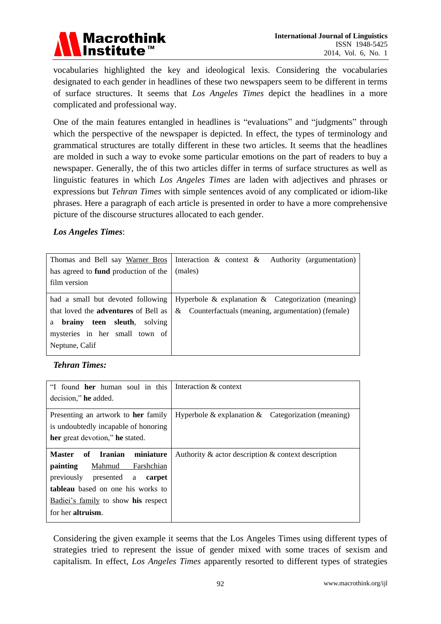

vocabularies highlighted the key and ideological lexis. Considering the vocabularies designated to each gender in headlines of these two newspapers seem to be different in terms of surface structures. It seems that *Los Angeles Times* depict the headlines in a more complicated and professional way.

One of the main features entangled in headlines is "evaluations" and "judgments" through which the perspective of the newspaper is depicted. In effect, the types of terminology and grammatical structures are totally different in these two articles. It seems that the headlines are molded in such a way to evoke some particular emotions on the part of readers to buy a newspaper. Generally, the of this two articles differ in terms of surface structures as well as linguistic features in which *Los Angeles Times* are laden with adjectives and phrases or expressions but *Tehran Times* with simple sentences avoid of any complicated or idiom-like phrases. Here a paragraph of each article is presented in order to have a more comprehensive picture of the discourse structures allocated to each gender.

#### *Los Angeles Times*:

| Interaction $\&$ context $\&$ Authority (argumentation)           |
|-------------------------------------------------------------------|
| (males)                                                           |
|                                                                   |
| Hyperbole & explanation $\&$ Categorization (meaning)             |
| & Counterfactuals (meaning, argumentation) (female)               |
|                                                                   |
|                                                                   |
|                                                                   |
| Thomas and Bell say Warner Bros<br>mysteries in her small town of |

## *Tehran Times:*

| "I found <b>her</b> human soul in this        | Interaction & context                                     |
|-----------------------------------------------|-----------------------------------------------------------|
| decision," he added.                          |                                                           |
| Presenting an artwork to <b>her</b> family    | Hyperbole & explanation $\&$ Categorization (meaning)     |
| is undoubtedly incapable of honoring          |                                                           |
| <b>her</b> great devotion," <b>he</b> stated. |                                                           |
| miniature<br><b>Master</b><br>of<br>Iranian   | Authority $\&$ actor description $\&$ context description |
| Farshchian<br>Mahmud<br>painting              |                                                           |
| presented a <b>carpet</b><br>previously       |                                                           |
| <b>tableau</b> based on one his works to      |                                                           |
| Badiei's family to show his respect           |                                                           |
| for her <b>altruism</b> .                     |                                                           |

Considering the given example it seems that the Los Angeles Times using different types of strategies tried to represent the issue of gender mixed with some traces of sexism and capitalism. In effect, *Los Angeles Times* apparently resorted to different types of strategies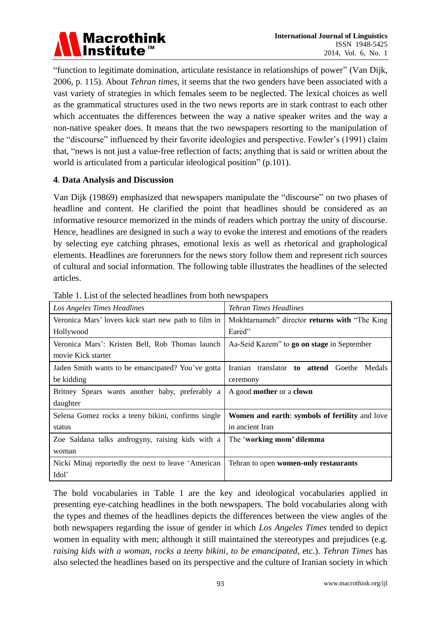

"function to legitimate domination, articulate resistance in relationships of power" (Van Dijk, 2006, p. 115). About *Tehran times*, it seems that the two genders have been associated with a vast variety of strategies in which females seem to be neglected. The lexical choices as well as the grammatical structures used in the two news reports are in stark contrast to each other which accentuates the differences between the way a native speaker writes and the way a non-native speaker does. It means that the two newspapers resorting to the manipulation of the "discourse" influenced by their favorite ideologies and perspective. Fowler's (1991) claim that, "news is not just a value-free reflection of facts; anything that is said or written about the world is articulated from a particular ideological position" (p.101).

#### **4***.* **Data Analysis and Discussion**

Van Dijk (19869) emphasized that newspapers manipulate the "discourse" on two phases of headline and content. He clarified the point that headlines should be considered as an informative resource memorized in the minds of readers which portray the unity of discourse. Hence, headlines are designed in such a way to evoke the interest and emotions of the readers by selecting eye catching phrases, emotional lexis as well as rhetorical and graphological elements. Headlines are forerunners for the news story follow them and represent rich sources of cultural and social information. The following table illustrates the headlines of the selected articles.

| Los Angeles Times Headlines                          | <b>Tehran Times Headlines</b>                           |
|------------------------------------------------------|---------------------------------------------------------|
| Veronica Mars' lovers kick start new path to film in | Mokhtarnameh" director returns with "The King"          |
| Hollywood                                            | Eared"                                                  |
| Veronica Mars': Kristen Bell, Rob Thomas launch      | Aa-Seid Kazem" to go on stage in September              |
| movie Kick starter                                   |                                                         |
| Jaden Smith wants to be emancipated? You've gotta    | Iranian translator <b>to</b> attend<br>Goethe<br>Medals |
| be kidding                                           | ceremony                                                |
| Britney Spears wants another baby, preferably a      | A good <b>mother</b> or a <b>clown</b>                  |
| daughter                                             |                                                         |
| Selena Gomez rocks a teeny bikini, confirms single   | Women and earth: symbols of fertility and love          |
| status                                               | in ancient Iran                                         |
| Zoe Saldana talks androgyny, raising kids with a     | The 'working mom' dilemma                               |
| woman                                                |                                                         |
| Nicki Minaj reportedly the next to leave 'American   | Tehran to open women-only restaurants                   |
| Idol'                                                |                                                         |

| Table 1. List of the selected headlines from both newspapers |
|--------------------------------------------------------------|
|--------------------------------------------------------------|

The bold vocabularies in Table 1 are the key and ideological vocabularies applied in presenting eye-catching headlines in the both newspapers. The bold vocabularies along with the types and themes of the headlines depicts the differences between the view angles of the both newspapers regarding the issue of gender in which *Los Angeles Times* tended to depict women in equality with men; although it still maintained the stereotypes and prejudices (e.g. *raising kids with a woman*, *rocks a teeny bikini*, *to be emancipated*, etc.). *Tehran Times* has also selected the headlines based on its perspective and the culture of Iranian society in which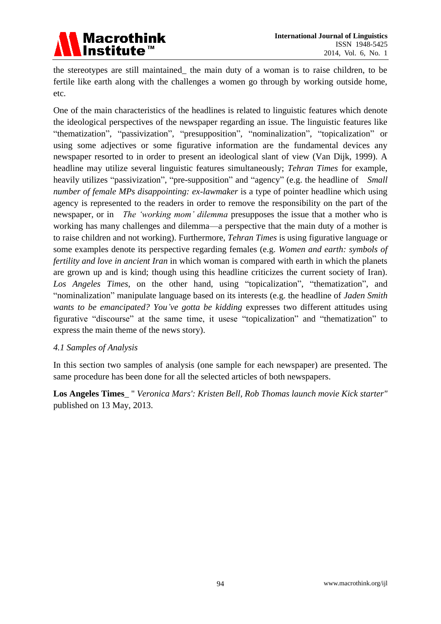

the stereotypes are still maintained\_ the main duty of a woman is to raise children, to be fertile like earth along with the challenges a women go through by working outside home, etc.

One of the main characteristics of the headlines is related to linguistic features which denote the ideological perspectives of the newspaper regarding an issue. The linguistic features like "thematization", "passivization", "presupposition", "nominalization", "topicalization" or using some adjectives or some figurative information are the fundamental devices any newspaper resorted to in order to present an ideological slant of view (Van Dijk, 1999). A headline may utilize several linguistic features simultaneously; *Tehran Times* for example, heavily utilizes "passivization", "pre-supposition" and "agency" (e.g. the headline of *Small number of female MPs disappointing: ex-lawmaker* is a type of pointer headline which using agency is represented to the readers in order to remove the responsibility on the part of the newspaper, or in *The 'working mom' dilemma* presupposes the issue that a mother who is working has many challenges and dilemma—a perspective that the main duty of a mother is to raise children and not working). Furthermore, *Tehran Times* is using figurative language or some examples denote its perspective regarding females (e.g. *Women and earth: symbols of fertility and love in ancient Iran* in which woman is compared with earth in which the planets are grown up and is kind; though using this headline criticizes the current society of Iran). *Los Angeles Times*, on the other hand, using "topicalization", "thematization", and "nominalization" manipulate language based on its interests (e.g. the headline of *Jaden Smith wants to be emancipated? You've gotta be kidding* expresses two different attitudes using figurative "discourse" at the same time, it usese "topicalization" and "thematization" to express the main theme of the news story).

#### *4.1 Samples of Analysis*

In this section two samples of analysis (one sample for each newspaper) are presented. The same procedure has been done for all the selected articles of both newspapers.

**Los Angeles Times**\_ " *Veronica Mars': Kristen Bell, Rob Thomas launch movie Kick starter"* published on 13 May, 2013.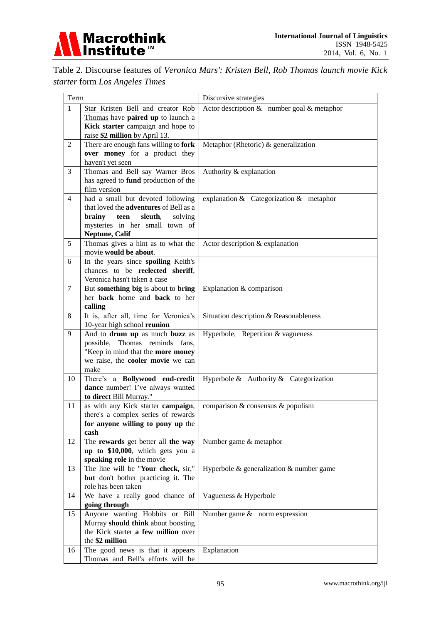

Table 2. Discourse features of *Veronica Mars': Kristen Bell, Rob Thomas launch movie Kick starter* form *Los Angeles Times*

| Term           |                                               | Discursive strategies                      |
|----------------|-----------------------------------------------|--------------------------------------------|
| $\mathbf{1}$   | Star Kristen Bell and creator Rob             | Actor description & number goal & metaphor |
|                | Thomas have paired up to launch a             |                                            |
|                | Kick starter campaign and hope to             |                                            |
|                | raise \$2 million by April 13.                |                                            |
| $\overline{2}$ | There are enough fans willing to fork         | Metaphor (Rhetoric) & generalization       |
|                | over money for a product they                 |                                            |
|                | haven't yet seen                              |                                            |
| 3              | Thomas and Bell say Warner Bros               | Authority & explanation                    |
|                | has agreed to fund production of the          |                                            |
|                | film version                                  |                                            |
| $\overline{4}$ | had a small but devoted following             | explanation & Categorization & metaphor    |
|                | that loved the <b>adventures</b> of Bell as a |                                            |
|                | <b>brainy</b><br>sleuth,<br>solving<br>teen   |                                            |
|                | mysteries in her small town of                |                                            |
|                | Neptune, Calif                                |                                            |
| 5              | Thomas gives a hint as to what the            | Actor description & explanation            |
|                | movie would be about.                         |                                            |
| 6              | In the years since spoiling Keith's           |                                            |
|                | chances to be reelected sheriff,              |                                            |
|                | Veronica hasn't taken a case                  |                                            |
| $\tau$         | But something big is about to bring           | Explanation & comparison                   |
|                | her back home and back to her                 |                                            |
|                | calling                                       |                                            |
| 8              | It is, after all, time for Veronica's         | Situation description & Reasonableness     |
|                | 10-year high school reunion                   |                                            |
| 9              | And to drum up as much buzz as                | Hyperbole, Repetition & vagueness          |
|                | possible, Thomas reminds fans,                |                                            |
|                | "Keep in mind that the more money             |                                            |
|                | we raise, the cooler movie we can             |                                            |
|                | make                                          |                                            |
| 10             | There's a Bollywood end-credit                | Hyperbole & Authority & Categorization     |
|                | dance number! I've always wanted              |                                            |
|                | to direct Bill Murray."                       |                                            |
| 11             | as with any Kick starter campaign,            | comparison & consensus & populism          |
|                | there's a complex series of rewards           |                                            |
|                | for anyone willing to pony up the             |                                            |
|                | cash                                          |                                            |
| 12             | The rewards get better all the way            | Number game & metaphor                     |
|                | up to \$10,000, which gets you a              |                                            |
|                | speaking role in the movie                    |                                            |
| 13             | The line will be "Your check, sir,"           | Hyperbole & generalization & number game   |
|                | but don't bother practicing it. The           |                                            |
|                | role has been taken                           |                                            |
| 14             | We have a really good chance of               | Vagueness & Hyperbole                      |
|                | going through                                 |                                            |
| 15             | Anyone wanting Hobbits or Bill                | Number game $&$ norm expression            |
|                | Murray should think about boosting            |                                            |
|                | the Kick starter a few million over           |                                            |
|                | the \$2 million                               |                                            |
| 16             | The good news is that it appears              | Explanation                                |
|                | Thomas and Bell's efforts will be             |                                            |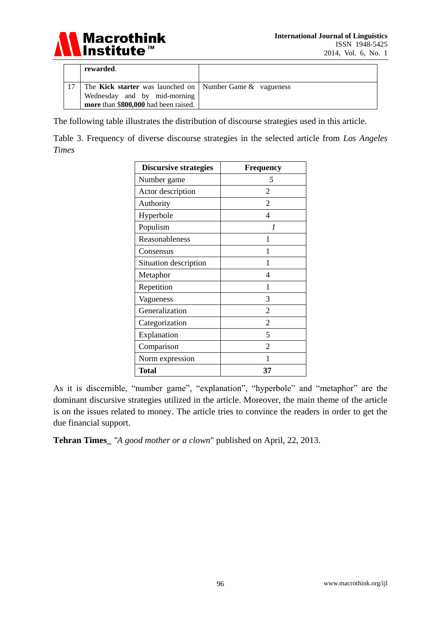

| rewarded.                                                        |  |
|------------------------------------------------------------------|--|
| The Kick starter was launched on $\vert$ Number Game & vagueness |  |
| Wednesday and by mid-morning                                     |  |
| more than \$800,000 had been raised.                             |  |

The following table illustrates the distribution of discourse strategies used in this article.

Table 3. Frequency of diverse discourse strategies in the selected article from *Los Angeles Times*

| <b>Discursive strategies</b> | <b>Frequency</b> |
|------------------------------|------------------|
| Number game                  | 5                |
| Actor description            | $\overline{c}$   |
| Authority                    | $\overline{2}$   |
| Hyperbole                    | 4                |
| Populism                     | 1                |
| Reasonableness               |                  |
| Consensus                    |                  |
| Situation description        |                  |
| Metaphor                     | 4                |
| Repetition                   | 1                |
| Vagueness                    | 3                |
| Generalization               | $\overline{2}$   |
| Categorization               | $\overline{2}$   |
| Explanation                  | 5                |
| Comparison                   | $\mathfrak{D}$   |
| Norm expression              |                  |
| Total                        | 37               |

As it is discernible, "number game", "explanation", "hyperbole" and "metaphor" are the dominant discursive strategies utilized in the article. Moreover, the main theme of the article is on the issues related to money. The article tries to convince the readers in order to get the due financial support.

**Tehran Times\_** *"A good mother or a clown*" published on April, 22, 2013.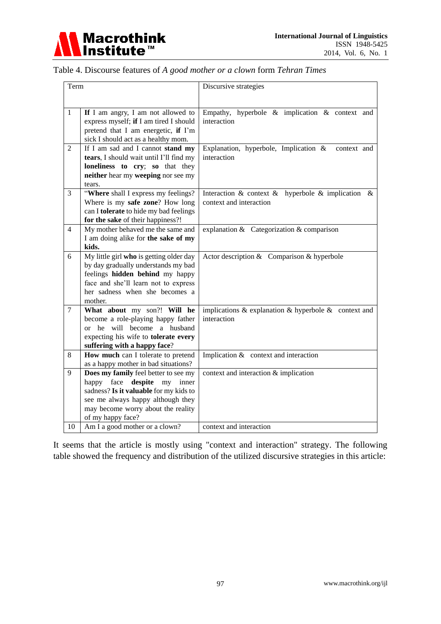

| Table 4. Discourse features of A good mother or a clown form Tehran Times |  |  |  |
|---------------------------------------------------------------------------|--|--|--|

| Term           |                                         | Discursive strategies                                         |
|----------------|-----------------------------------------|---------------------------------------------------------------|
|                |                                         |                                                               |
|                |                                         |                                                               |
| $\mathbf{1}$   | If I am angry, I am not allowed to      | Empathy, hyperbole $\&$ implication $\&$ context and          |
|                | express myself; if I am tired I should  | interaction                                                   |
|                | pretend that I am energetic, if I'm     |                                                               |
|                | sick I should act as a healthy mom.     |                                                               |
| $\overline{2}$ | If I am sad and I cannot stand my       | Explanation, hyperbole, Implication &<br>context and          |
|                | tears, I should wait until I'll find my | interaction                                                   |
|                | loneliness to cry; so that they         |                                                               |
|                | neither hear my weeping nor see my      |                                                               |
|                | tears.                                  |                                                               |
| 3              | "Where shall I express my feelings?     | Interaction & context & hyperbole & implication &             |
|                | Where is my safe zone? How long         | context and interaction                                       |
|                | can I tolerate to hide my bad feelings  |                                                               |
|                | for the sake of their happiness?!       |                                                               |
| 4              | My mother behaved me the same and       | explanation & Categorization & comparison                     |
|                | I am doing alike for the sake of my     |                                                               |
|                | kids.                                   |                                                               |
| 6              | My little girl who is getting older day | Actor description & Comparison & hyperbole                    |
|                | by day gradually understands my bad     |                                                               |
|                | feelings hidden behind my happy         |                                                               |
|                | face and she'll learn not to express    |                                                               |
|                | her sadness when she becomes a          |                                                               |
|                | mother.                                 |                                                               |
| $\overline{7}$ | What about my son?! Will he             | implications $\&$ explanation $\&$ hyperbole $\&$ context and |
|                | become a role-playing happy father      | interaction                                                   |
|                | or he will become a husband             |                                                               |
|                | expecting his wife to tolerate every    |                                                               |
|                | suffering with a happy face?            |                                                               |
| 8              | How much can I tolerate to pretend      | Implication & context and interaction                         |
|                | as a happy mother in bad situations?    |                                                               |
| 9              | Does my family feel better to see my    | context and interaction & implication                         |
|                | happy face<br>despite<br>my<br>inner    |                                                               |
|                | sadness? Is it valuable for my kids to  |                                                               |
|                | see me always happy although they       |                                                               |
|                | may become worry about the reality      |                                                               |
|                | of my happy face?                       |                                                               |
| 10             | Am I a good mother or a clown?          | context and interaction                                       |

It seems that the article is mostly using "context and interaction" strategy. The following table showed the frequency and distribution of the utilized discursive strategies in this article: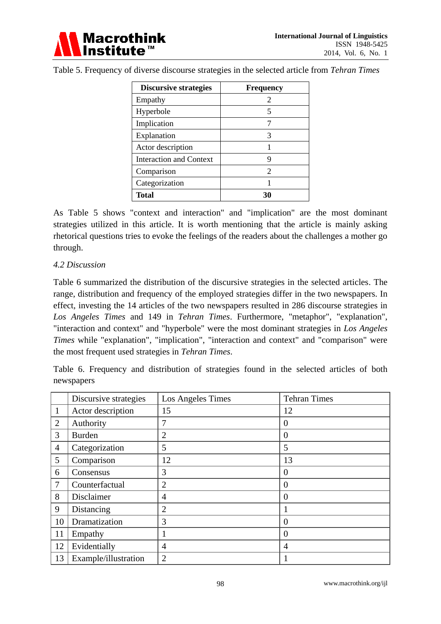

| <b>Discursive strategies</b>   | <b>Frequency</b>            |
|--------------------------------|-----------------------------|
| Empathy                        | 2                           |
| Hyperbole                      | 5                           |
| Implication                    |                             |
| Explanation                    | 3                           |
| Actor description              |                             |
| <b>Interaction and Context</b> | g                           |
| Comparison                     | $\mathcal{D}_{\mathcal{L}}$ |
| Categorization                 |                             |
| <b>Total</b>                   | 30                          |

Table 5. Frequency of diverse discourse strategies in the selected article from *Tehran Times*

As Table 5 shows "context and interaction" and "implication" are the most dominant strategies utilized in this article. It is worth mentioning that the article is mainly asking rhetorical questions tries to evoke the feelings of the readers about the challenges a mother go through.

#### *4.2 Discussion*

Table 6 summarized the distribution of the discursive strategies in the selected articles. The range, distribution and frequency of the employed strategies differ in the two newspapers. In effect, investing the 14 articles of the two newspapers resulted in 286 discourse strategies in *Los Angeles Times* and 149 in *Tehran Times*. Furthermore, "metaphor", "explanation", "interaction and context" and "hyperbole" were the most dominant strategies in *Los Angeles Times* while "explanation", "implication", "interaction and context" and "comparison" were the most frequent used strategies in *Tehran Times*.

Table 6. Frequency and distribution of strategies found in the selected articles of both newspapers

|                | Discursive strategies | Los Angeles Times | <b>Tehran Times</b> |
|----------------|-----------------------|-------------------|---------------------|
| $\mathbf{1}$   | Actor description     | 15                | 12                  |
| $\overline{2}$ | Authority             |                   | $\Omega$            |
| 3              | <b>Burden</b>         | $\overline{2}$    | $\Omega$            |
| $\overline{4}$ | Categorization        | 5                 | 5                   |
| 5              | Comparison            | 12                | 13                  |
| 6              | Consensus             | 3                 | $\Omega$            |
| $\overline{7}$ | Counterfactual        | $\overline{2}$    | $\theta$            |
| 8              | Disclaimer            | 4                 | $\Omega$            |
| 9              | Distancing            | $\overline{2}$    |                     |
| 10             | Dramatization         | 3                 | $\theta$            |
| 11             | Empathy               |                   | $\theta$            |
| 12             | Evidentially          | 4                 | $\overline{4}$      |
| 13             | Example/illustration  | $\overline{2}$    |                     |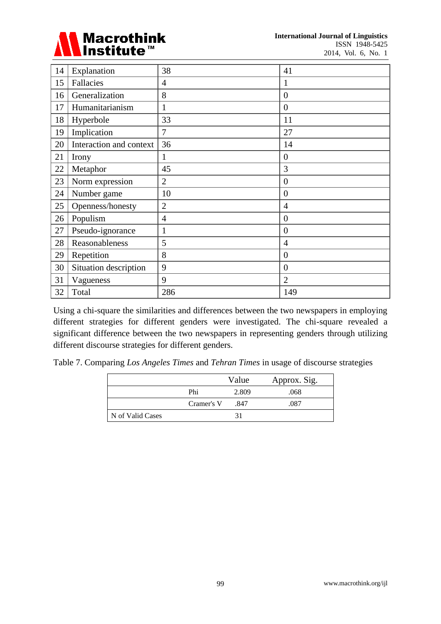

| 14 | Explanation             | 38             | 41             |
|----|-------------------------|----------------|----------------|
| 15 | Fallacies               | $\overline{4}$ | 1              |
| 16 | Generalization          | 8              | $\overline{0}$ |
| 17 | Humanitarianism         | 1              | $\overline{0}$ |
| 18 | Hyperbole               | 33             | 11             |
| 19 | Implication             | 7              | 27             |
| 20 | Interaction and context | 36             | 14             |
| 21 | Irony                   |                | $\overline{0}$ |
| 22 | Metaphor                | 45             | 3              |
| 23 | Norm expression         | $\overline{2}$ | $\overline{0}$ |
| 24 | Number game             | 10             | $\mathbf{0}$   |
| 25 | Openness/honesty        | $\overline{2}$ | $\overline{4}$ |
| 26 | Populism                | $\overline{4}$ | $\mathbf{0}$   |
| 27 | Pseudo-ignorance        | $\mathbf{1}$   | $\mathbf{0}$   |
| 28 | Reasonableness          | 5              | $\overline{4}$ |
| 29 | Repetition              | 8              | $\overline{0}$ |
| 30 | Situation description   | 9              | $\theta$       |
| 31 | Vagueness               | 9              | $\overline{2}$ |
| 32 | Total                   | 286            | 149            |

Using a chi-square the similarities and differences between the two newspapers in employing different strategies for different genders were investigated. The chi-square revealed a significant difference between the two newspapers in representing genders through utilizing different discourse strategies for different genders.

Table 7. Comparing *Los Angeles Times* and *Tehran Times* in usage of discourse strategies

|                  |            | Value | Approx. Sig. |
|------------------|------------|-------|--------------|
|                  | Phi        | 2.809 | .068         |
|                  | Cramer's V | .847  | .087         |
| N of Valid Cases |            |       |              |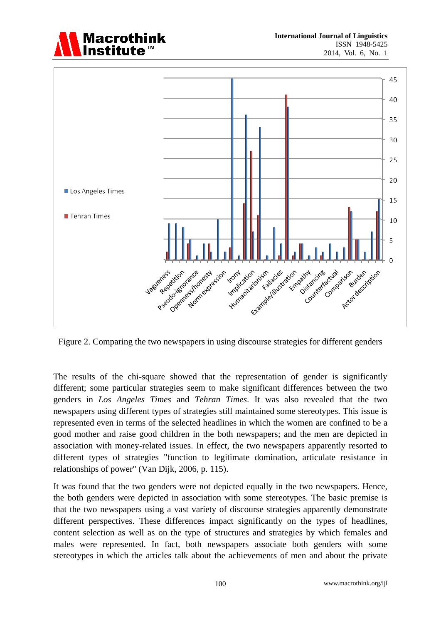



Figure 2. Comparing the two newspapers in using discourse strategies for different genders

The results of the chi-square showed that the representation of gender is significantly different; some particular strategies seem to make significant differences between the two genders in *Los Angeles Times* and *Tehran Times*. It was also revealed that the two newspapers using different types of strategies still maintained some stereotypes. This issue is represented even in terms of the selected headlines in which the women are confined to be a good mother and raise good children in the both newspapers; and the men are depicted in association with money-related issues. In effect, the two newspapers apparently resorted to different types of strategies "function to legitimate domination, articulate resistance in relationships of power" (Van Dijk, 2006, p. 115).

It was found that the two genders were not depicted equally in the two newspapers. Hence, the both genders were depicted in association with some stereotypes. The basic premise is that the two newspapers using a vast variety of discourse strategies apparently demonstrate different perspectives. These differences impact significantly on the types of headlines, content selection as well as on the type of structures and strategies by which females and males were represented. In fact, both newspapers associate both genders with some stereotypes in which the articles talk about the achievements of men and about the private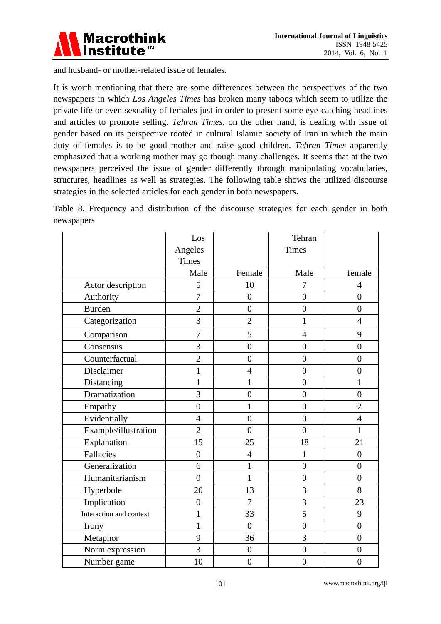and husband- or mother-related issue of females.

It is worth mentioning that there are some differences between the perspectives of the two newspapers in which *Los Angeles Times* has broken many taboos which seem to utilize the private life or even sexuality of females just in order to present some eye-catching headlines and articles to promote selling. *Tehran Times*, on the other hand, is dealing with issue of gender based on its perspective rooted in cultural Islamic society of Iran in which the main duty of females is to be good mother and raise good children. *Tehran Times* apparently emphasized that a working mother may go though many challenges. It seems that at the two newspapers perceived the issue of gender differently through manipulating vocabularies, structures, headlines as well as strategies. The following table shows the utilized discourse strategies in the selected articles for each gender in both newspapers.

Table 8. Frequency and distribution of the discourse strategies for each gender in both newspapers

|                         | Los              |                | Tehran         |                |
|-------------------------|------------------|----------------|----------------|----------------|
|                         | Angeles          |                | <b>Times</b>   |                |
|                         | <b>Times</b>     |                |                |                |
|                         | Male             | Female         | Male           | female         |
| Actor description       | 5                | 10             | 7              | $\overline{4}$ |
| Authority               | 7                | $\overline{0}$ | $\overline{0}$ | $\overline{0}$ |
| <b>Burden</b>           | $\overline{2}$   | $\overline{0}$ | $\overline{0}$ | $\overline{0}$ |
| Categorization          | $\overline{3}$   | $\overline{2}$ | $\mathbf{1}$   | $\overline{4}$ |
| Comparison              | $\overline{7}$   | 5              | $\overline{4}$ | 9              |
| Consensus               | 3                | $\overline{0}$ | $\overline{0}$ | $\overline{0}$ |
| Counterfactual          | $\overline{2}$   | $\overline{0}$ | $\overline{0}$ | $\overline{0}$ |
| Disclaimer              | 1                | $\overline{4}$ | $\overline{0}$ | $\overline{0}$ |
| Distancing              | 1                | $\mathbf 1$    | $\overline{0}$ | $\mathbf{1}$   |
| Dramatization           | 3                | $\overline{0}$ | $\overline{0}$ | $\overline{0}$ |
| Empathy                 | $\overline{0}$   | $\mathbf{1}$   | $\overline{0}$ | $\overline{2}$ |
| Evidentially            | $\overline{4}$   | $\overline{0}$ | $\overline{0}$ | $\overline{4}$ |
| Example/illustration    | $\overline{2}$   | $\theta$       | $\theta$       | $\mathbf 1$    |
| Explanation             | 15               | 25             | 18             | 21             |
| <b>Fallacies</b>        | $\overline{0}$   | $\overline{4}$ | $\mathbf{1}$   | $\overline{0}$ |
| Generalization          | 6                | $\mathbf 1$    | $\overline{0}$ | $\overline{0}$ |
| Humanitarianism         | $\overline{0}$   | $\mathbf{1}$   | $\overline{0}$ | $\overline{0}$ |
| Hyperbole               | 20               | 13             | 3              | 8              |
| Implication             | $\boldsymbol{0}$ | 7              | 3              | 23             |
| Interaction and context | $\mathbf{1}$     | 33             | 5              | 9              |
| <b>Irony</b>            | $\mathbf{1}$     | $\overline{0}$ | $\overline{0}$ | $\overline{0}$ |
| Metaphor                | 9                | 36             | 3              | $\overline{0}$ |
| Norm expression         | 3                | $\overline{0}$ | $\overline{0}$ | $\overline{0}$ |
| Number game             | 10               | $\overline{0}$ | $\overline{0}$ | $\overline{0}$ |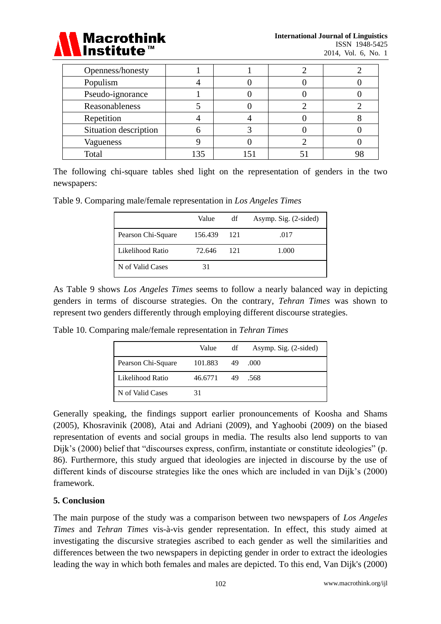

| Openness/honesty      |     |  |  |
|-----------------------|-----|--|--|
| Populism              |     |  |  |
| Pseudo-ignorance      |     |  |  |
| Reasonableness        |     |  |  |
| Repetition            |     |  |  |
| Situation description |     |  |  |
| Vagueness             |     |  |  |
| Total                 | 135 |  |  |

The following chi-square tables shed light on the representation of genders in the two newspapers:

Table 9. Comparing male/female representation in *Los Angeles Times*

|                    | Value   | df   | Asymp. Sig. (2-sided) |
|--------------------|---------|------|-----------------------|
| Pearson Chi-Square | 156.439 | -121 | .017                  |
| Likelihood Ratio   | 72.646  | 121  | 1.000                 |
| N of Valid Cases   | 31      |      |                       |

As Table 9 shows *Los Angeles Times* seems to follow a nearly balanced way in depicting genders in terms of discourse strategies. On the contrary, *Tehran Times* was shown to represent two genders differently through employing different discourse strategies.

Table 10. Comparing male/female representation in *Tehran Times*

|                    | Value   | df  | Asymp. Sig. (2-sided) |
|--------------------|---------|-----|-----------------------|
| Pearson Chi-Square | 101.883 | 49. | (000)                 |
| Likelihood Ratio   | 46.6771 | 49  | .568                  |
| N of Valid Cases   | 31      |     |                       |

Generally speaking, the findings support earlier pronouncements of Koosha and Shams (2005), Khosravinik (2008), Atai and Adriani (2009), and Yaghoobi (2009) on the biased representation of events and social groups in media. The results also lend supports to van Dijk's (2000) belief that "discourses express, confirm, instantiate or constitute ideologies" (p. 86). Furthermore, this study argued that ideologies are injected in discourse by the use of different kinds of discourse strategies like the ones which are included in van Dijk"s (2000) framework.

## **5. Conclusion**

The main purpose of the study was a comparison between two newspapers of *Los Angeles Times* and *Tehran Times* vis-à-vis gender representation. In effect, this study aimed at investigating the discursive strategies ascribed to each gender as well the similarities and differences between the two newspapers in depicting gender in order to extract the ideologies leading the way in which both females and males are depicted. To this end, Van Dijk's (2000)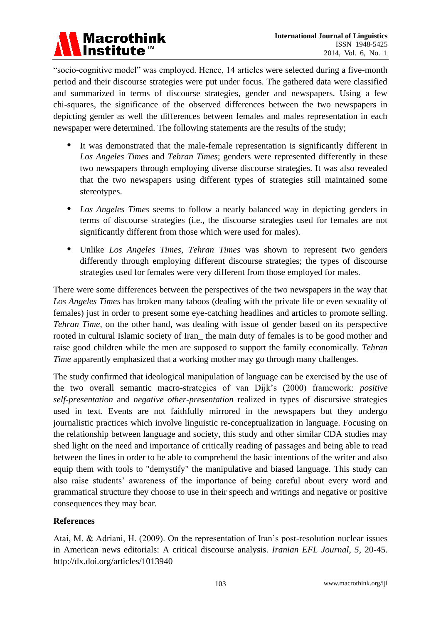

"socio-cognitive model" was employed. Hence, 14 articles were selected during a five-month period and their discourse strategies were put under focus. The gathered data were classified and summarized in terms of discourse strategies, gender and newspapers. Using a few chi-squares, the significance of the observed differences between the two newspapers in depicting gender as well the differences between females and males representation in each newspaper were determined. The following statements are the results of the study;

- It was demonstrated that the male-female representation is significantly different in *Los Angeles Times* and *Tehran Times*; genders were represented differently in these two newspapers through employing diverse discourse strategies. It was also revealed that the two newspapers using different types of strategies still maintained some stereotypes.
- *Los Angeles Times* seems to follow a nearly balanced way in depicting genders in terms of discourse strategies (i.e., the discourse strategies used for females are not significantly different from those which were used for males).
- Unlike *Los Angeles Times*, *Tehran Times* was shown to represent two genders differently through employing different discourse strategies; the types of discourse strategies used for females were very different from those employed for males.

There were some differences between the perspectives of the two newspapers in the way that *Los Angeles Times* has broken many taboos (dealing with the private life or even sexuality of females) just in order to present some eye-catching headlines and articles to promote selling. *Tehran Time*, on the other hand, was dealing with issue of gender based on its perspective rooted in cultural Islamic society of Iran\_ the main duty of females is to be good mother and raise good children while the men are supposed to support the family economically. *Tehran Time* apparently emphasized that a working mother may go through many challenges.

The study confirmed that ideological manipulation of language can be exercised by the use of the two overall semantic macro-strategies of van Dijk"s (2000) framework: *positive self-presentation* and *negative other-presentation* realized in types of discursive strategies used in text. Events are not faithfully mirrored in the newspapers but they undergo journalistic practices which involve linguistic re-conceptualization in language. Focusing on the relationship between language and society, this study and other similar CDA studies may shed light on the need and importance of critically reading of passages and being able to read between the lines in order to be able to comprehend the basic intentions of the writer and also equip them with tools to "demystify" the manipulative and biased language. This study can also raise students" awareness of the importance of being careful about every word and grammatical structure they choose to use in their speech and writings and negative or positive consequences they may bear.

## **References**

Atai, M. & Adriani, H. (2009). On the representation of Iran"s post-resolution nuclear issues in American news editorials: A critical discourse analysis. *Iranian EFL Journal*, *5*, 20-45. http://dx.doi.org/articles/1013940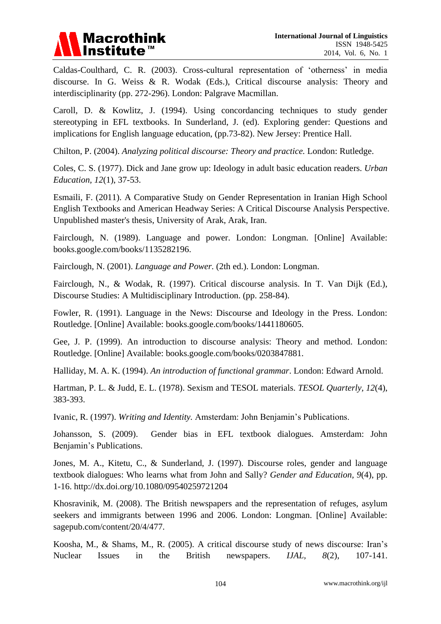

Caldas-Coulthard, C. R. (2003). Cross-cultural representation of "otherness" in media discourse. In G. Weiss & R. Wodak (Eds.), Critical discourse analysis: Theory and interdisciplinarity (pp. 272-296). London: Palgrave Macmillan.

Caroll, D. & Kowlitz, J. (1994). Using concordancing techniques to study gender stereotyping in EFL textbooks. In Sunderland, J. (ed). Exploring gender: Questions and implications for English language education, (pp.73-82). New Jersey: Prentice Hall.

Chilton, P. (2004). *Analyzing political discourse: Theory and practice.* London: Rutledge.

Coles, C. S. (1977). Dick and Jane grow up: Ideology in adult basic education readers. *Urban Education, 12*(1), 37-53.

Esmaili, F. (2011). A Comparative Study on Gender Representation in Iranian High School English Textbooks and American Headway Series: A Critical Discourse Analysis Perspective. Unpublished master's thesis, University of Arak, Arak, Iran.

Fairclough, N. (1989). Language and power. London: Longman. [Online] Available: books.google.com/books/1135282196.

Fairclough, N. (2001). *Language and Power.* (2th ed.). London: Longman.

Fairclough, N., & Wodak, R. (1997). Critical discourse analysis. In T. Van Dijk (Ed.), Discourse Studies: A Multidisciplinary Introduction. (pp. 258-84).

Fowler, R. (1991). Language in the News: Discourse and Ideology in the Press. London: Routledge. [Online] Available: books.google.com/books/1441180605.

Gee, J. P. (1999). An introduction to discourse analysis: Theory and method. London: Routledge. [Online] Available: books.google.com/books/0203847881.

Halliday, M. A. K. (1994). *An introduction of functional grammar*. London: Edward Arnold.

Hartman, P. L. & Judd, E. L. (1978). Sexism and TESOL materials. *TESOL Quarterly, 12*(4), 383-393.

Ivanic, R. (1997). *Writing and Identity.* Amsterdam: John Benjamin"s Publications.

Johansson, S. (2009). Gender bias in EFL textbook dialogues. Amsterdam: John Benjamin"s Publications.

Jones, M. A., Kitetu, C., & Sunderland, J. (1997). Discourse roles, gender and language textbook dialogues: Who learns what from John and Sally? *Gender and Education, 9*(4), pp. 1-16. http://dx.doi.org/10.1080/09540259721204

Khosravinik, M. (2008). The British newspapers and the representation of refuges, asylum seekers and immigrants between 1996 and 2006. London: Longman. [Online] Available: sagepub.com/content/20/4/477.

Koosha, M., & Shams, M., R. (2005). A critical discourse study of news discourse: Iran"s Nuclear Issues in the British newspapers. *IJAL, 8*(2), 107-141.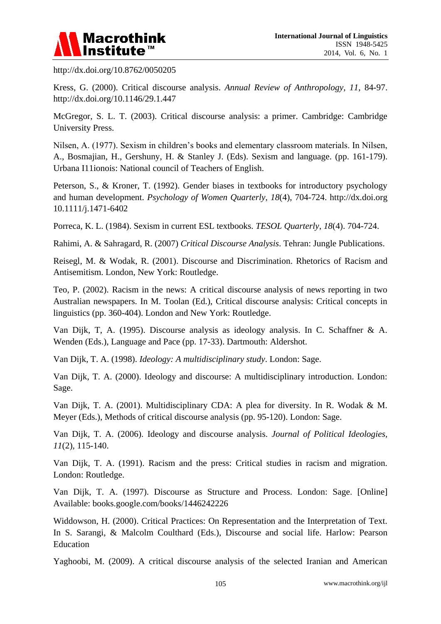

http://dx.doi.org/10.8762/0050205

Kress, G. (2000). Critical discourse analysis. *Annual Review of Anthropology, 11*, 84-97. http://dx.doi.org/10.1146/29.1.447

McGregor, S. L. T. (2003). Critical discourse analysis: a primer. Cambridge: Cambridge University Press.

Nilsen, A. (1977). Sexism in children"s books and elementary classroom materials. In Nilsen, A., Bosmajian, H., Gershuny, H. & Stanley J. (Eds). Sexism and language. (pp. 161-179). Urbana I11ionois: National council of Teachers of English.

Peterson, S., & Kroner, T. (1992). Gender biases in textbooks for introductory psychology and human development. *Psychology of Women Quarterly, 18*(4), 704-724. http://dx.doi.org 10.1111/j.1471-6402

Porreca, K. L. (1984). Sexism in current ESL textbooks. *TESOL Quarterly*, *18*(4). 704-724.

Rahimi, A. & Sahragard, R. (2007) *Critical Discourse Analysis*. Tehran: Jungle Publications.

Reisegl, M. & Wodak, R. (2001). Discourse and Discrimination. Rhetorics of Racism and Antisemitism. London, New York: Routledge.

Teo, P. (2002). Racism in the news: A critical discourse analysis of news reporting in two Australian newspapers. In M. Toolan (Ed.), Critical discourse analysis: Critical concepts in linguistics (pp. 360-404). London and New York: Routledge.

Van Dijk, T, A. (1995). Discourse analysis as ideology analysis. In C. Schaffner & A. Wenden (Eds.), Language and Pace (pp. 17-33). Dartmouth: Aldershot.

Van Dijk, T. A. (1998). *Ideology: A multidisciplinary study*. London: Sage.

Van Dijk, T. A. (2000). Ideology and discourse: A multidisciplinary introduction. London: Sage.

Van Dijk, T. A. (2001). Multidisciplinary CDA: A plea for diversity. In R. Wodak & M. Meyer (Eds.), Methods of critical discourse analysis (pp. 95-120). London: Sage.

Van Dijk, T. A. (2006). Ideology and discourse analysis. *Journal of Political Ideologies, 11*(2), 115-140.

Van Dijk, T. A. (1991). Racism and the press: Critical studies in racism and migration. London: Routledge.

Van Dijk, T. A. (1997). Discourse as Structure and Process. London: Sage. [Online] Available: books.google.com/books/1446242226

Widdowson, H. (2000). Critical Practices: On Representation and the Interpretation of Text. In S. Sarangi, & Malcolm Coulthard (Eds.), Discourse and social life. Harlow: Pearson Education

Yaghoobi, M. (2009). A critical discourse analysis of the selected Iranian and American